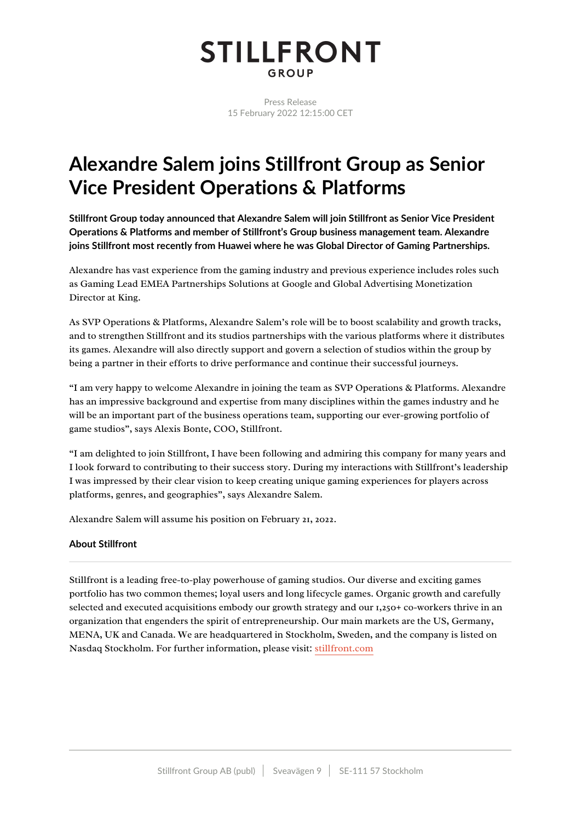## **STILLFRONT** GROUP

Press Release 15 February 2022 12:15:00 CET

## **Alexandre Salem joins Stillfront Group as Senior Vice President Operations & Platforms**

**Stillfront Group today announced that Alexandre Salem will join Stillfront as Senior Vice President Operations & Platforms and member of Stillfront's Group business management team. Alexandre joins Stillfront most recently from Huawei where he was Global Director of Gaming Partnerships.**

Alexandre has vast experience from the gaming industry and previous experience includes roles such as Gaming Lead EMEA Partnerships Solutions at Google and Global Advertising Monetization Director at King.

As SVP Operations & Platforms, Alexandre Salem's role will be to boost scalability and growth tracks, and to strengthen Stillfront and its studios partnerships with the various platforms where it distributes its games. Alexandre will also directly support and govern a selection of studios within the group by being a partner in their efforts to drive performance and continue their successful journeys.

"I am very happy to welcome Alexandre in joining the team as SVP Operations & Platforms. Alexandre has an impressive background and expertise from many disciplines within the games industry and he will be an important part of the business operations team, supporting our ever-growing portfolio of game studios", says Alexis Bonte, COO, Stillfront.

"I am delighted to join Stillfront, I have been following and admiring this company for many years and I look forward to contributing to their success story. During my interactions with Stillfront's leadership I was impressed by their clear vision to keep creating unique gaming experiences for players across platforms, genres, and geographies", says Alexandre Salem.

Alexandre Salem will assume his position on February 21, 2022.

## **About Stillfront**

Stillfront is a leading free-to-play powerhouse of gaming studios. Our diverse and exciting games portfolio has two common themes; loyal users and long lifecycle games. Organic growth and carefully selected and executed acquisitions embody our growth strategy and our 1,250+ co-workers thrive in an organization that engenders the spirit of entrepreneurship. Our main markets are the US, Germany, MENA, UK and Canada. We are headquartered in Stockholm, Sweden, and the company is listed on Nasdaq Stockholm. For further information, please visit: [stillfront.com](https://www.stillfront.com/en/)